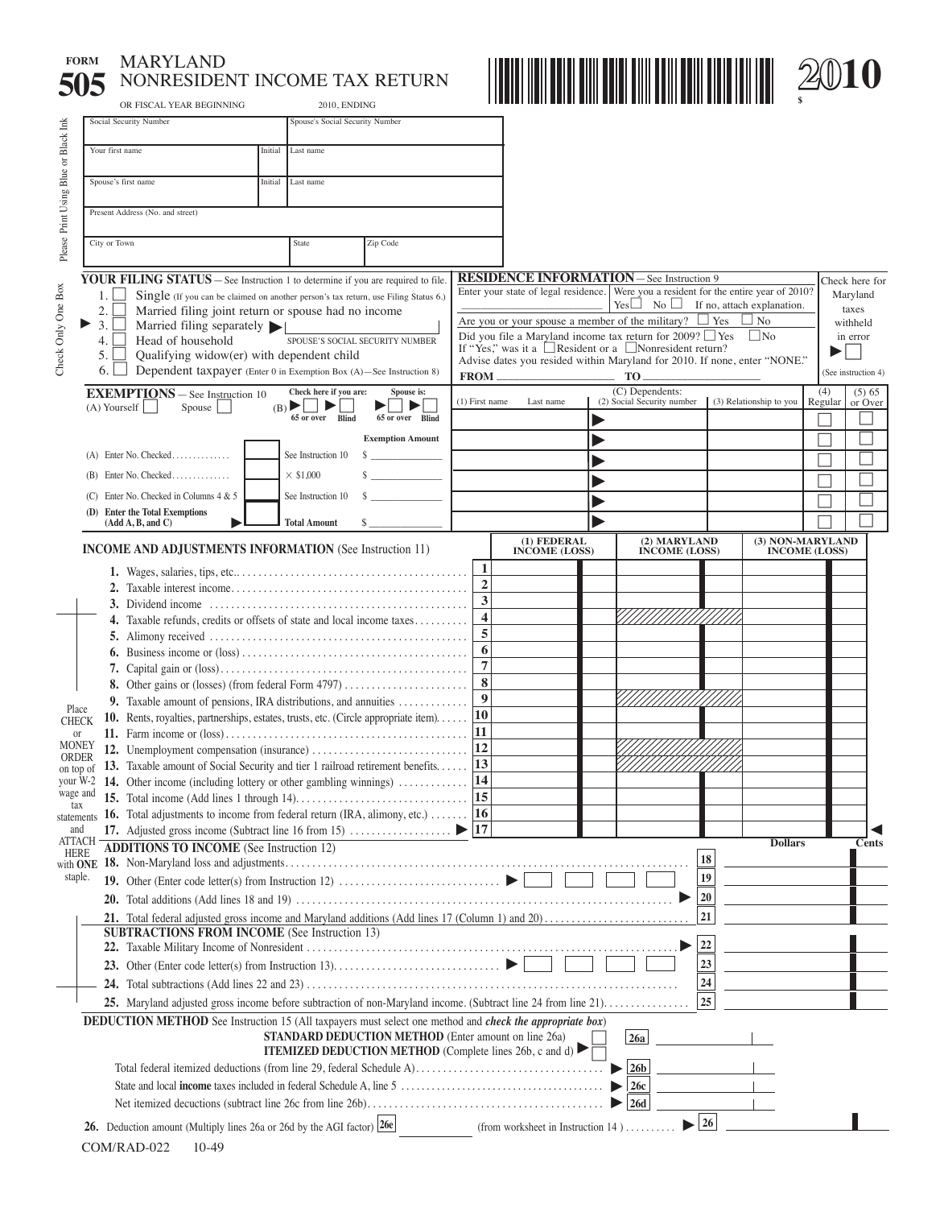## **505 FORM** MARYLAND

NONRESIDENT INCOME TAX RETURN

OR FISCAL YEAR BEGINNING 2010, ENDING



| Social Security Number                                                                                                  |                                                                               | Spouse's Social Security Number                                                                            |                                                                |                               |                                     |                                                                                                                                      |                         |                        |                      |                     |
|-------------------------------------------------------------------------------------------------------------------------|-------------------------------------------------------------------------------|------------------------------------------------------------------------------------------------------------|----------------------------------------------------------------|-------------------------------|-------------------------------------|--------------------------------------------------------------------------------------------------------------------------------------|-------------------------|------------------------|----------------------|---------------------|
| Your first name                                                                                                         | Initial                                                                       | Last name                                                                                                  |                                                                |                               |                                     |                                                                                                                                      |                         |                        |                      |                     |
| Spouse's first name                                                                                                     | Initial                                                                       | Last name                                                                                                  |                                                                |                               |                                     |                                                                                                                                      |                         |                        |                      |                     |
| Present Address (No. and street)                                                                                        |                                                                               |                                                                                                            |                                                                |                               |                                     |                                                                                                                                      |                         |                        |                      |                     |
| City or Town                                                                                                            |                                                                               | State                                                                                                      | Zip Code                                                       |                               |                                     |                                                                                                                                      |                         |                        |                      |                     |
| <b>YOUR FILING STATUS</b> – See Instruction 1 to determine if you are required to file                                  |                                                                               |                                                                                                            |                                                                |                               |                                     | <b>RESIDENCE INFORMATION</b> - See Instruction 9                                                                                     |                         |                        |                      | Check here for      |
| Single (If you can be claimed on another person's tax return, use Filing Status 6.)                                     |                                                                               |                                                                                                            |                                                                |                               |                                     | Enter your state of legal residence. Were you a resident for the entire year of 2010?                                                |                         |                        |                      | Maryland            |
| Married filing joint return or spouse had no income<br>2.                                                               |                                                                               |                                                                                                            |                                                                |                               |                                     | $Yes\square$<br>$\mathbb{N}^{\circ}$ If no, attach explanation.                                                                      |                         |                        |                      | taxes               |
| 3.<br>Married filing separately<br>▶                                                                                    |                                                                               |                                                                                                            |                                                                |                               |                                     | Are you or your spouse a member of the military? $\Box$ Yes                                                                          |                         | $\Box$ No<br>$\Box$ No |                      | withheld            |
| Head of household<br>4.                                                                                                 |                                                                               | SPOUSE'S SOCIAL SECURITY NUMBER                                                                            |                                                                |                               |                                     | Did you file a Maryland income tax return for 2009? $\Box$ Yes<br>If "Yes," was it a $\Box$ Resident or a $\Box$ Nonresident return? |                         |                        |                      | in error            |
| Qualifying widow(er) with dependent child<br>5.                                                                         |                                                                               |                                                                                                            |                                                                |                               |                                     | Advise dates you resided within Maryland for 2010. If none, enter "NONE."                                                            |                         |                        |                      |                     |
| Dependent taxpayer (Enter 0 in Exemption Box (A)-See Instruction 8)<br>6.                                               |                                                                               |                                                                                                            |                                                                | FROM.                         |                                     | TO.                                                                                                                                  |                         |                        |                      | (See instruction 4) |
| <b>EXEMPTIONS</b> - See Instruction 10                                                                                  |                                                                               | Check here if you are:<br>Spouse is:                                                                       |                                                                | $(1)$ First name<br>Last name |                                     | (C) Dependents:<br>(2) Social Security number                                                                                        | (3) Relationship to you |                        | (4)<br>Regular       | (5) 65<br>or Over   |
| $(A)$ Yourself $\vert$<br>Spouse                                                                                        |                                                                               | $\blacktriangleright$<br>(B)<br>▶<br>DI<br>65 or over Blind<br>65 or over Blind<br><b>Exemption Amount</b> |                                                                |                               |                                     |                                                                                                                                      |                         |                        |                      |                     |
|                                                                                                                         |                                                                               |                                                                                                            |                                                                |                               |                                     |                                                                                                                                      |                         |                        |                      |                     |
| $(A)$ Enter No. Checked                                                                                                 |                                                                               | See Instruction 10                                                                                         | S<br><u> 1990 - Jan Barnett, fransk politiker</u>              |                               |                                     |                                                                                                                                      |                         |                        |                      |                     |
| $(B)$ Enter No. Checked                                                                                                 |                                                                               | $\times$ \$1,000                                                                                           | $\mathbb{S}$                                                   |                               |                                     |                                                                                                                                      |                         |                        |                      |                     |
|                                                                                                                         |                                                                               |                                                                                                            |                                                                |                               |                                     |                                                                                                                                      |                         |                        |                      |                     |
| (C) Enter No. Checked in Columns $4 & 5$<br>(D) Enter the Total Exemptions                                              |                                                                               | See Instruction 10                                                                                         | <sup>\$</sup>                                                  |                               |                                     |                                                                                                                                      |                         |                        |                      |                     |
| (Add A, B, and C)                                                                                                       | <b>Total Amount</b>                                                           |                                                                                                            |                                                                |                               |                                     |                                                                                                                                      |                         |                        |                      |                     |
| <b>INCOME AND ADJUSTMENTS INFORMATION (See Instruction 11)</b>                                                          |                                                                               |                                                                                                            |                                                                |                               | (1) FEDERAL<br><b>INCOME (LOSS)</b> | (2) MARYLAND<br><b>INCOME (LOSS)</b>                                                                                                 |                         | (3) NON-MARYLAND       | <b>INCOME (LOSS)</b> |                     |
|                                                                                                                         |                                                                               |                                                                                                            |                                                                | $\mathbf{1}$                  |                                     |                                                                                                                                      |                         |                        |                      |                     |
|                                                                                                                         |                                                                               |                                                                                                            |                                                                | $\overline{2}$                |                                     |                                                                                                                                      |                         |                        |                      |                     |
| 3. Dividend income $\ldots \ldots \ldots \ldots \ldots \ldots \ldots \ldots \ldots \ldots \ldots \ldots \ldots$         |                                                                               |                                                                                                            |                                                                | $\overline{\mathbf{3}}$       |                                     |                                                                                                                                      |                         |                        |                      |                     |
| 4. Taxable refunds, credits or offsets of state and local income taxes                                                  |                                                                               |                                                                                                            |                                                                | $\vert 4 \vert$               |                                     |                                                                                                                                      |                         |                        |                      |                     |
|                                                                                                                         |                                                                               |                                                                                                            |                                                                | $\overline{5}$                |                                     |                                                                                                                                      |                         |                        |                      |                     |
|                                                                                                                         |                                                                               |                                                                                                            |                                                                | 6                             |                                     |                                                                                                                                      |                         |                        |                      |                     |
|                                                                                                                         |                                                                               |                                                                                                            |                                                                | $\overline{7}$                |                                     |                                                                                                                                      |                         |                        |                      |                     |
|                                                                                                                         |                                                                               |                                                                                                            |                                                                | $\overline{\bf 8}$            |                                     |                                                                                                                                      |                         |                        |                      |                     |
| 9. Taxable amount of pensions, IRA distributions, and annuities<br>Place                                                |                                                                               |                                                                                                            |                                                                | $\boldsymbol{9}$              |                                     |                                                                                                                                      |                         |                        |                      |                     |
| 10. Rents, royalties, partnerships, estates, trusts, etc. (Circle appropriate item).<br><b>CHECK</b>                    |                                                                               |                                                                                                            |                                                                | 10<br>11                      |                                     |                                                                                                                                      |                         |                        |                      |                     |
| or<br>MONEY                                                                                                             |                                                                               |                                                                                                            |                                                                |                               |                                     |                                                                                                                                      |                         |                        |                      |                     |
| ORDER                                                                                                                   | 13. Taxable amount of Social Security and tier 1 railroad retirement benefits |                                                                                                            |                                                                |                               |                                     |                                                                                                                                      |                         |                        |                      |                     |
| on top of<br>14. Other income (including lottery or other gambling winnings)  14<br>your W-2                            | 13                                                                            |                                                                                                            |                                                                |                               |                                     |                                                                                                                                      |                         |                        |                      |                     |
| wage and                                                                                                                |                                                                               |                                                                                                            |                                                                | 15                            |                                     |                                                                                                                                      |                         |                        |                      |                     |
| tax<br>16. Total adjustments to income from federal return (IRA, alimony, etc.)  [16]<br>statements                     |                                                                               |                                                                                                            |                                                                |                               |                                     |                                                                                                                                      |                         |                        |                      |                     |
| 17. Adjusted gross income (Subtract line 16 from 15) $\ldots$ $\ldots$ $\downarrow$ [17]<br>and                         |                                                                               |                                                                                                            |                                                                |                               |                                     |                                                                                                                                      |                         |                        |                      |                     |
| <b>ATTACH</b><br><b>ADDITIONS TO INCOME</b> (See Instruction 12)<br><b>HERE</b>                                         |                                                                               |                                                                                                            |                                                                |                               |                                     |                                                                                                                                      |                         | <b>Dollars</b>         |                      | <b>Cents</b>        |
|                                                                                                                         |                                                                               |                                                                                                            |                                                                |                               |                                     | 18                                                                                                                                   |                         |                        |                      |                     |
| staple.                                                                                                                 |                                                                               |                                                                                                            |                                                                |                               |                                     | 19                                                                                                                                   |                         |                        |                      |                     |
|                                                                                                                         |                                                                               |                                                                                                            |                                                                |                               |                                     | $20\,$<br>▶                                                                                                                          |                         |                        |                      |                     |
|                                                                                                                         |                                                                               |                                                                                                            |                                                                |                               |                                     | 21                                                                                                                                   |                         |                        |                      |                     |
| <b>SUBTRACTIONS FROM INCOME</b> (See Instruction 13)                                                                    |                                                                               |                                                                                                            |                                                                |                               |                                     | $22\,$                                                                                                                               |                         |                        |                      |                     |
|                                                                                                                         |                                                                               |                                                                                                            |                                                                |                               |                                     | 23                                                                                                                                   |                         |                        |                      |                     |
|                                                                                                                         |                                                                               |                                                                                                            |                                                                |                               |                                     | 24                                                                                                                                   |                         |                        |                      |                     |
|                                                                                                                         |                                                                               |                                                                                                            |                                                                |                               |                                     | 25                                                                                                                                   |                         |                        |                      |                     |
| 25. Maryland adjusted gross income before subtraction of non-Maryland income. (Subtract line 24 from line 21)           |                                                                               |                                                                                                            |                                                                |                               |                                     |                                                                                                                                      |                         |                        |                      |                     |
| <b>DEDUCTION METHOD</b> See Instruction 15 (All taxpayers must select one method and <i>check the appropriate box</i> ) |                                                                               |                                                                                                            | STANDARD DEDUCTION METHOD (Enter amount on line 26a)           |                               |                                     | 26a                                                                                                                                  |                         |                        |                      |                     |
|                                                                                                                         |                                                                               |                                                                                                            | <b>ITEMIZED DEDUCTION METHOD</b> (Complete lines 26b, c and d) |                               |                                     |                                                                                                                                      |                         |                        |                      |                     |
|                                                                                                                         |                                                                               |                                                                                                            |                                                                |                               |                                     |                                                                                                                                      |                         |                        |                      |                     |
|                                                                                                                         |                                                                               |                                                                                                            |                                                                |                               |                                     | 26c                                                                                                                                  |                         |                        |                      |                     |
|                                                                                                                         |                                                                               |                                                                                                            |                                                                |                               |                                     | 26d                                                                                                                                  |                         |                        |                      |                     |
| 26. Deduction amount (Multiply lines 26a or 26d by the AGI factor) 26e                                                  |                                                                               |                                                                                                            |                                                                |                               | (from worksheet in Instruction 14)  |                                                                                                                                      | 26                      |                        |                      |                     |
|                                                                                                                         |                                                                               |                                                                                                            |                                                                |                               |                                     |                                                                                                                                      |                         |                        |                      |                     |
| COM/RAD-022<br>10-49                                                                                                    |                                                                               |                                                                                                            |                                                                |                               |                                     |                                                                                                                                      |                         |                        |                      |                     |